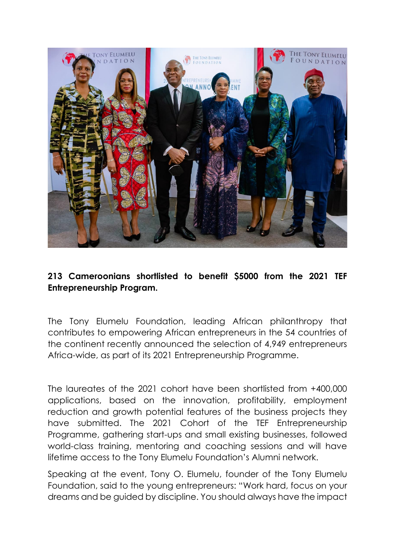

## **213 Cameroonians shortlisted to benefit \$5000 from the 2021 TEF Entrepreneurship Program.**

The Tony Elumelu Foundation, leading African philanthropy that contributes to empowering African entrepreneurs in the 54 countries of the continent recently announced the selection of 4,949 entrepreneurs Africa-wide, as part of its 2021 Entrepreneurship Programme.

The laureates of the 2021 cohort have been shortlisted from +400,000 applications, based on the innovation, profitability, employment reduction and growth potential features of the business projects they have submitted. The 2021 Cohort of the TEF Entrepreneurship Programme, gathering start-ups and small existing businesses, followed world-class training, mentoring and coaching sessions and will have lifetime access to the Tony Elumelu Foundation's Alumni network.

Speaking at the event, Tony O. Elumelu, founder of the Tony Elumelu Foundation, said to the young entrepreneurs: "Work hard, focus on your dreams and be guided by discipline. You should always have the impact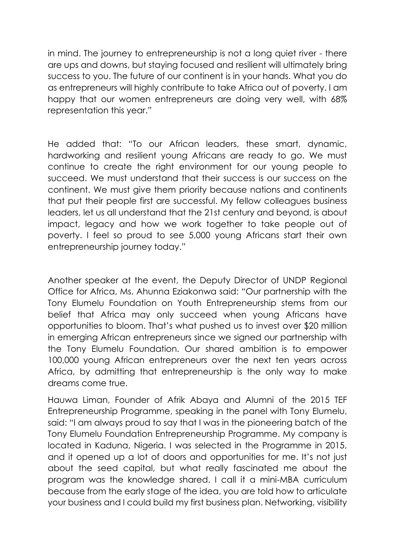in mind. The journey to entrepreneurship is not a long quiet river - there are ups and downs, but staying focused and resilient will ultimately bring success to you. The future of our continent is in your hands. What you do as entrepreneurs will highly contribute to take Africa out of poverty. I am happy that our women entrepreneurs are doing very well, with 68% representation this year."

He added that: "To our African leaders, these smart, dynamic, hardworking and resilient young Africans are ready to go. We must continue to create the right environment for our young people to succeed. We must understand that their success is our success on the continent. We must give them priority because nations and continents that put their people first are successful. My fellow colleagues business leaders, let us all understand that the 21st century and beyond, is about impact, legacy and how we work together to take people out of poverty. I feel so proud to see 5,000 young Africans start their own entrepreneurship journey today."

Another speaker at the event, the Deputy Director of UNDP Regional Office for Africa, Ms. Ahunna Eziakonwa said: "Our partnership with the Tony Elumelu Foundation on Youth Entrepreneurship stems from our belief that Africa may only succeed when young Africans have opportunities to bloom. That's what pushed us to invest over \$20 million in emerging African entrepreneurs since we signed our partnership with the Tony Elumelu Foundation. Our shared ambition is to empower 100,000 young African entrepreneurs over the next ten years across Africa, by admitting that entrepreneurship is the only way to make dreams come true.

Hauwa Liman, Founder of Afrik Abaya and Alumni of the 2015 TEF Entrepreneurship Programme, speaking in the panel with Tony Elumelu, said: "I am always proud to say that I was in the pioneering batch of the Tony Elumelu Foundation Entrepreneurship Programme. My company is located in Kaduna, Nigeria. I was selected in the Programme in 2015, and it opened up a lot of doors and opportunities for me. It's not just about the seed capital, but what really fascinated me about the program was the knowledge shared. I call it a mini-MBA curriculum because from the early stage of the idea, you are told how to articulate your business and I could build my first business plan. Networking, visibility